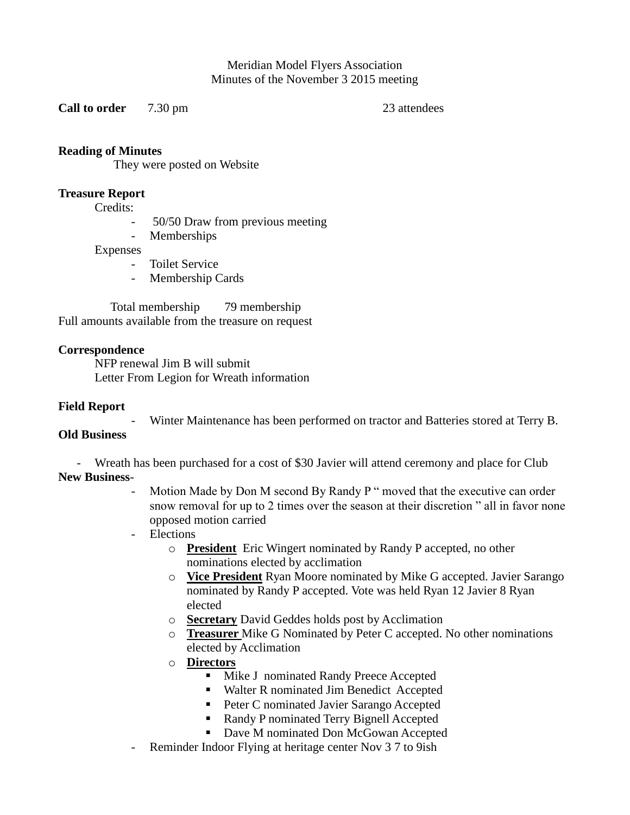Meridian Model Flyers Association Minutes of the November 3 2015 meeting

**Call to order** 7.30 pm 23 attendees

# **Reading of Minutes**

They were posted on Website

### **Treasure Report**

Credits:

- 50/50 Draw from previous meeting
- Memberships

Expenses

- Toilet Service
- Membership Cards

 Total membership 79 membership Full amounts available from the treasure on request

# **Correspondence**

NFP renewal Jim B will submit Letter From Legion for Wreath information

### **Field Report**

Winter Maintenance has been performed on tractor and Batteries stored at Terry B.

# **Old Business**

- Wreath has been purchased for a cost of \$30 Javier will attend ceremony and place for Club

# **New Business**-

- Motion Made by Don M second By Randy P " moved that the executive can order snow removal for up to 2 times over the season at their discretion " all in favor none opposed motion carried
- Elections
	- o **President** Eric Wingert nominated by Randy P accepted, no other nominations elected by acclimation
	- o **Vice President** Ryan Moore nominated by Mike G accepted. Javier Sarango nominated by Randy P accepted. Vote was held Ryan 12 Javier 8 Ryan elected
	- o **Secretary** David Geddes holds post by Acclimation
	- o **Treasurer** Mike G Nominated by Peter C accepted. No other nominations elected by Acclimation
	- o **Directors**
		- Mike J nominated Randy Preece Accepted
		- Walter R nominated Jim Benedict Accepted
		- Peter C nominated Javier Sarango Accepted
		- Randy P nominated Terry Bignell Accepted
		- Dave M nominated Don McGowan Accepted
- Reminder Indoor Flying at heritage center Nov 3 7 to 9ish